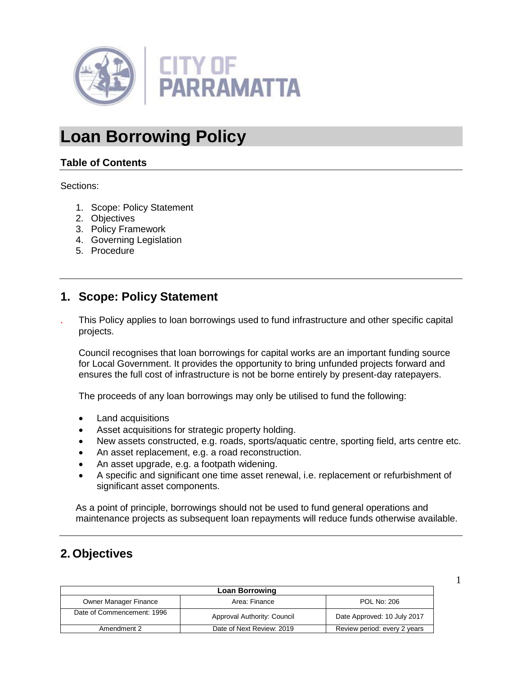

# **Loan Borrowing Policy**

## **Table of Contents**

Sections:

- 1. Scope: Policy Statement
- 2. Objectives
- 3. Policy Framework
- 4. Governing Legislation
- 5. Procedure

# **1. Scope: Policy Statement**

. This Policy applies to loan borrowings used to fund infrastructure and other specific capital projects.

Council recognises that loan borrowings for capital works are an important funding source for Local Government. It provides the opportunity to bring unfunded projects forward and ensures the full cost of infrastructure is not be borne entirely by present-day ratepayers.

The proceeds of any loan borrowings may only be utilised to fund the following:

- Land acquisitions
- Asset acquisitions for strategic property holding.
- New assets constructed, e.g. roads, sports/aquatic centre, sporting field, arts centre etc.
- An asset replacement, e.g. a road reconstruction.
- An asset upgrade, e.g. a footpath widening.
- A specific and significant one time asset renewal, i.e. replacement or refurbishment of significant asset components.

As a point of principle, borrowings should not be used to fund general operations and maintenance projects as subsequent loan repayments will reduce funds otherwise available.

# **2. Objectives**

| <b>Loan Borrowing</b>        |                             |                              |
|------------------------------|-----------------------------|------------------------------|
| <b>Owner Manager Finance</b> | Area: Finance               | <b>POL No: 206</b>           |
| Date of Commencement: 1996   | Approval Authority: Council | Date Approved: 10 July 2017  |
| Amendment 2                  | Date of Next Review: 2019   | Review period: every 2 years |

1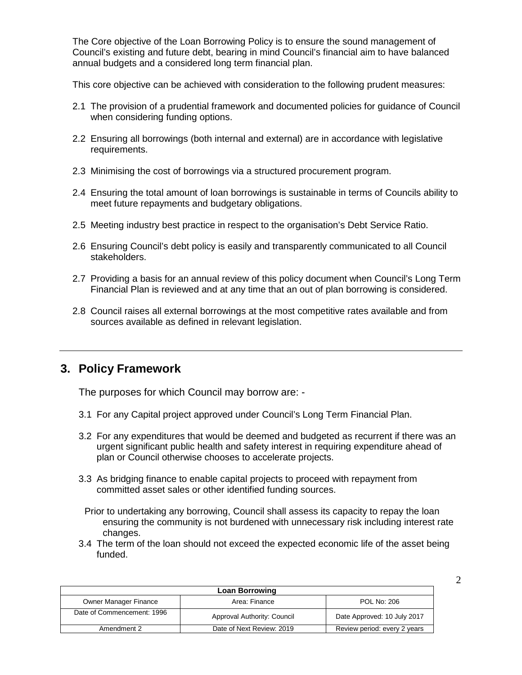The Core objective of the Loan Borrowing Policy is to ensure the sound management of Council's existing and future debt, bearing in mind Council's financial aim to have balanced annual budgets and a considered long term financial plan.

This core objective can be achieved with consideration to the following prudent measures:

- 2.1 The provision of a prudential framework and documented policies for guidance of Council when considering funding options.
- 2.2 Ensuring all borrowings (both internal and external) are in accordance with legislative requirements.
- 2.3 Minimising the cost of borrowings via a structured procurement program.
- 2.4 Ensuring the total amount of loan borrowings is sustainable in terms of Councils ability to meet future repayments and budgetary obligations.
- 2.5 Meeting industry best practice in respect to the organisation's Debt Service Ratio.
- 2.6 Ensuring Council's debt policy is easily and transparently communicated to all Council stakeholders.
- 2.7 Providing a basis for an annual review of this policy document when Council's Long Term Financial Plan is reviewed and at any time that an out of plan borrowing is considered.
- 2.8 Council raises all external borrowings at the most competitive rates available and from sources available as defined in relevant legislation.

# **3. Policy Framework**

The purposes for which Council may borrow are: -

- 3.1 For any Capital project approved under Council's Long Term Financial Plan.
- 3.2 For any expenditures that would be deemed and budgeted as recurrent if there was an urgent significant public health and safety interest in requiring expenditure ahead of plan or Council otherwise chooses to accelerate projects.
- 3.3 As bridging finance to enable capital projects to proceed with repayment from committed asset sales or other identified funding sources.

Prior to undertaking any borrowing, Council shall assess its capacity to repay the loan ensuring the community is not burdened with unnecessary risk including interest rate changes.

3.4 The term of the loan should not exceed the expected economic life of the asset being funded.

| <b>Loan Borrowing</b>        |                             |                              |
|------------------------------|-----------------------------|------------------------------|
| <b>Owner Manager Finance</b> | Area: Finance               | <b>POL No: 206</b>           |
| Date of Commencement: 1996   | Approval Authority: Council | Date Approved: 10 July 2017  |
| Amendment 2                  | Date of Next Review: 2019   | Review period: every 2 years |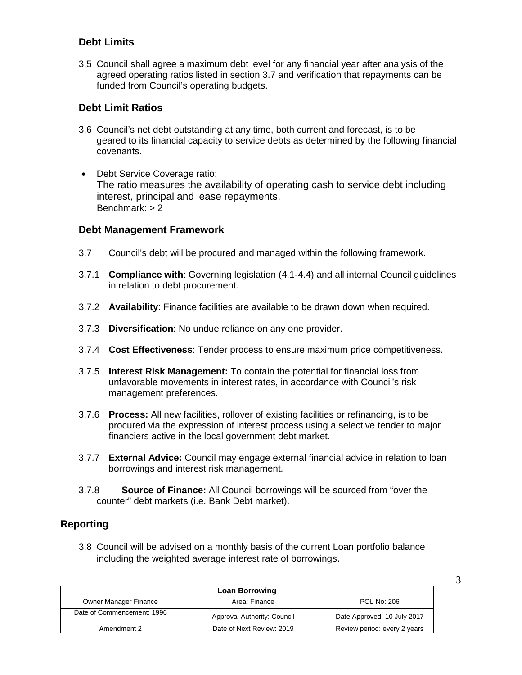## **Debt Limits**

3.5 Council shall agree a maximum debt level for any financial year after analysis of the agreed operating ratios listed in section 3.7 and verification that repayments can be funded from Council's operating budgets.

## **Debt Limit Ratios**

- 3.6 Council's net debt outstanding at any time, both current and forecast, is to be geared to its financial capacity to service debts as determined by the following financial covenants.
- Debt Service Coverage ratio: The ratio measures the availability of operating cash to service debt including interest, principal and lease repayments. Benchmark:  $> 2$

#### **Debt Management Framework**

- 3.7 Council's debt will be procured and managed within the following framework.
- 3.7.1 **Compliance with**: Governing legislation (4.1-4.4) and all internal Council guidelines in relation to debt procurement.
- 3.7.2 **Availability**: Finance facilities are available to be drawn down when required.
- 3.7.3 **Diversification**: No undue reliance on any one provider.
- 3.7.4 **Cost Effectiveness**: Tender process to ensure maximum price competitiveness.
- 3.7.5 **Interest Risk Management:** To contain the potential for financial loss from unfavorable movements in interest rates, in accordance with Council's risk management preferences.
- 3.7.6 **Process:** All new facilities, rollover of existing facilities or refinancing, is to be procured via the expression of interest process using a selective tender to major financiers active in the local government debt market.
- 3.7.7 **External Advice:** Council may engage external financial advice in relation to loan borrowings and interest risk management.
- 3.7.8 **Source of Finance:** All Council borrowings will be sourced from "over the counter" debt markets (i.e. Bank Debt market).

## **Reporting**

3.8 Council will be advised on a monthly basis of the current Loan portfolio balance including the weighted average interest rate of borrowings.

| <b>Loan Borrowing</b>        |                             |                              |
|------------------------------|-----------------------------|------------------------------|
| <b>Owner Manager Finance</b> | Area: Finance               | <b>POL No: 206</b>           |
| Date of Commencement: 1996   | Approval Authority: Council | Date Approved: 10 July 2017  |
| Amendment 2                  | Date of Next Review: 2019   | Review period: every 2 years |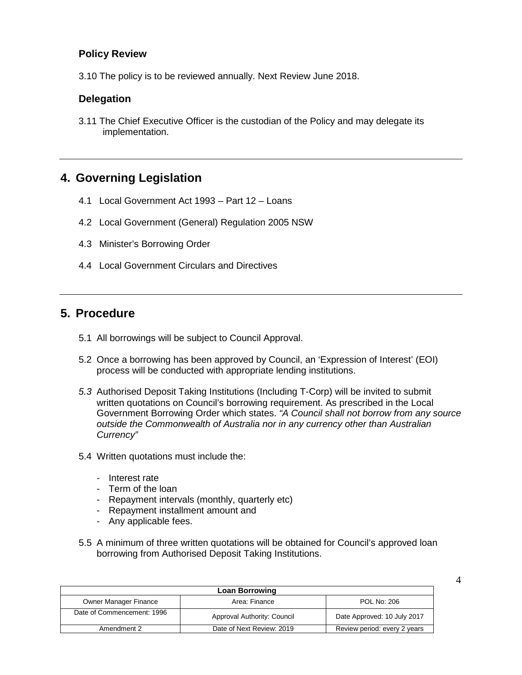### **Policy Review**

3.10 The policy is to be reviewed annually. Next Review June 2018.

#### **Delegation**

3.11 The Chief Executive Officer is the custodian of the Policy and may delegate its implementation.

# **4. Governing Legislation**

- 4.1Local Government Act 1993 Part 12 Loans
- 4.2Local Government (General) Regulation 2005 NSW
- 4.3Minister's Borrowing Order
- 4.4 Local Government Circulars and Directives

# **5. Procedure**

- 5.1 All borrowings will be subject to Council Approval.
- 5.2 Once a borrowing has been approved by Council, an 'Expression of Interest' (EOI) process will be conducted with appropriate lending institutions.
- *5.3* Authorised Deposit Taking Institutions (Including T-Corp) will be invited to submit written quotations on Council's borrowing requirement. As prescribed in the Local Government Borrowing Order which states. *"A Council shall not borrow from any source outside the Commonwealth of Australia nor in any currency other than Australian Currency"*
- 5.4 Written quotations must include the:
	- Interest rate
	- Term of the loan
	- Repayment intervals (monthly, quarterly etc)
	- Repayment installment amount and
	- Any applicable fees.
- 5.5 A minimum of three written quotations will be obtained for Council's approved loan borrowing from Authorised Deposit Taking Institutions.

| <b>Loan Borrowing</b>      |                             |                              |
|----------------------------|-----------------------------|------------------------------|
| Owner Manager Finance      | Area: Finance               | <b>POL No: 206</b>           |
| Date of Commencement: 1996 | Approval Authority: Council | Date Approved: 10 July 2017  |
| Amendment 2                | Date of Next Review: 2019   | Review period: every 2 years |

4